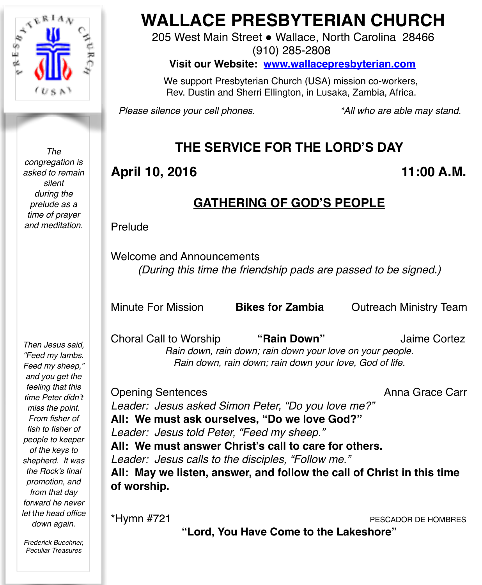

*The congregation is asked to remain silent during the prelude as a time of prayer and meditation.*

*Then Jesus said, "Feed my lambs. Feed my sheep," and you get the feeling that this time Peter didn't miss the point. From fisher of fish to fisher of people to keeper of the keys to shepherd. It was the Rock's final promotion, and from that day forward he never let* t*he head office down again.*

*Frederick Buechner, Peculiar Treasures*

# **WALLACE PRESBYTERIAN CHURCH**

205 West Main Street . Wallace, North Carolina 28466 (910) 285-2808

**Visit our Website: [www.wallacepresbyterian.com](http://www.wallacepresbyterian.com)**

 We support Presbyterian Church (USA) mission co-workers, Rev. Dustin and Sherri Ellington, in Lusaka, Zambia, Africa.

*Please silence your cell phones. \*All who are able may stand.*

## **THE SERVICE FOR THE LORD'S DAY**

## April 10, 2016 **11:00 A.M.**

#### **GATHERING OF GOD'S PEOPLE**

Prelude

Welcome and Announcements *(During this time the friendship pads are passed to be signed.)*

Minute For Mission **Bikes for Zambia** Outreach Ministry Team

Choral Call to Worship **"Rain Down"** Jaime Cortez *Rain down, rain down; rain down your love on your people. Rain down, rain down; rain down your love, God of life.*

Opening Sentences **Anna Grace Carr Anna Grace Carr** *Leader: Jesus asked Simon Peter, "Do you love me?"* **All: We must ask ourselves, "Do we love God?"**  *Leader: Jesus told Peter, "Feed my sheep."* **All: We must answer Christ's call to care for others.** *Leader: Jesus calls to the disciples, "Follow me."* **All: May we listen, answer, and follow the call of Christ in this time of worship.**

\*Hymn #721 PESCADOR DE HOMBRES

**"Lord, You Have Come to the Lakeshore"**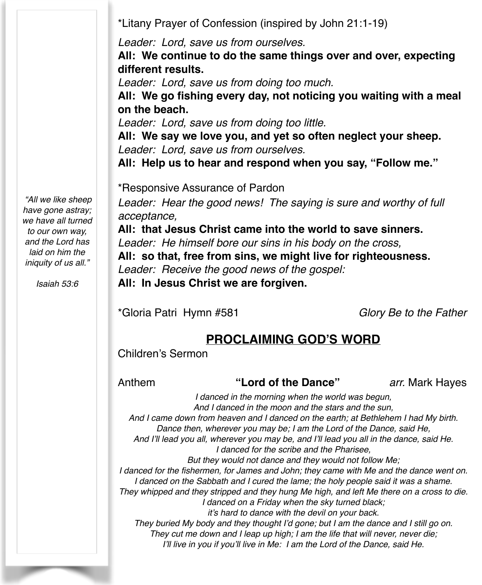\*Litany Prayer of Confession (inspired by John 21:1-19)

*Leader: Lord, save us from ourselves.*

**All: We continue to do the same things over and over, expecting different results.**

*Leader: Lord, save us from doing too much.*

**All: We go fishing every day, not noticing you waiting with a meal on the beach.**

*Leader: Lord, save us from doing too little.*

**All: We say we love you, and yet so often neglect your sheep.** *Leader: Lord, save us from ourselves.*

**All: Help us to hear and respond when you say, "Follow me."**

\*Responsive Assurance of Pardon

Leader: Hear the good news! The saying is sure and worthy of full *acceptance,*

**All: that Jesus Christ came into the world to save sinners.**

*Leader: He himself bore our sins in his body on the cross,*

**All: so that, free from sins, we might live for righteousness.** *Leader: Receive the good news of the gospel:*

**All: In Jesus Christ we are forgiven.**

\*Gloria Patri Hymn #581 *Glory Be to the Father*

#### **PROCLAIMING GOD'S WORD**

Children's Sermon

Anthem **"Lord of the Dance"** *arr.* Mark Hayes

*I danced in the morning when the world was begun, And I danced in the moon and the stars and the sun, And I came down from heaven and I danced on the earth; at Bethlehem I had My birth. Dance then, wherever you may be; I am the Lord of the Dance, said He, And I'll lead you all, wherever you may be, and I'll lead you all in the dance, said He. I danced for the scribe and the Pharisee, But they would not dance and they would not follow Me; I danced for the fishermen, for James and John; they came with Me and the dance went on.* I danced on the Sabbath and I cured the lame; the holy people said it was a shame. *They whipped and they stripped and they hung Me high, and left Me there on a cross to die. I danced on a Friday when the sky turned black; it's hard to dance with the devil on your back. They buried My body and they thought I'd gone; but I am the dance and I still go on. They cut me down and I leap up high; I am the life that will never, never die; I'll live in you if you'll live in Me: I am the Lord of the Dance, said He.*

*"All we like sheep have gone astray; we have all turned to our own way, and the Lord has laid on him the iniquity of us all."*

*Isaiah 53:6*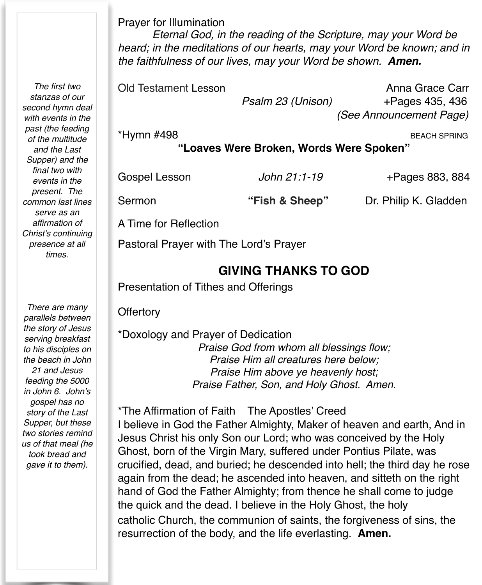Prayer for Illumination

*Eternal God, in the reading of the Scripture, may your Word be heard; in the meditations of our hearts, may your Word be known; and in the faithfulness of our lives, may your Word be shown. Amen.*

Old Testament Lesson Anna Grace Carr  *Psalm 23 (Unison)* +Pages 435, 436 !!!!!! *(See Announcement Page)*

\*Hymn #498 BEACH SPRING

**"Loaves Were Broken, Words Were Spoken"**

Gospel Lesson *John 21:1-19* +Pages 883, 884

Sermon **"Fish & Sheep"** Dr. Philip K. Gladden

A Time for Reflection

Pastoral Prayer with The Lord's Prayer

#### **GIVING THANKS TO GOD**

Presentation of Tithes and Offerings

**Offertory** 

\*Doxology and Prayer of Dedication *Praise God from whom all blessings flow; Praise Him all creatures here below; Praise Him above ye heavenly host; Praise Father, Son, and Holy Ghost. Amen.*

\*The Affirmation of Faith The Apostles' Creed I believe in God the Father Almighty, Maker of heaven and earth, And in Jesus Christ his only Son our Lord; who was conceived by the Holy Ghost, born of the Virgin Mary, suffered under Pontius Pilate, was crucified, dead, and buried; he descended into hell; the third day he rose again from the dead; he ascended into heaven, and sitteth on the right hand of God the Father Almighty; from thence he shall come to judge the quick and the dead. I believe in the Holy Ghost, the holy catholic Church, the communion of saints, the forgiveness of sins, the resurrection of the body, and the life everlasting. **Amen.**

*There are many parallels between the story of Jesus serving breakfast to his disciples on the beach in John 21 and Jesus feeding the 5000 in John 6. John's gospel has no story of the Last Supper, but these two stories remind us of that meal (he took bread and gave it to them).*

*The first two stanzas of our second hymn deal with events in the past (the feeding of the multitude and the Last Supper) and the final two with events in the present. The common last lines serve as an affirmation of Christ's continuing presence at all times.*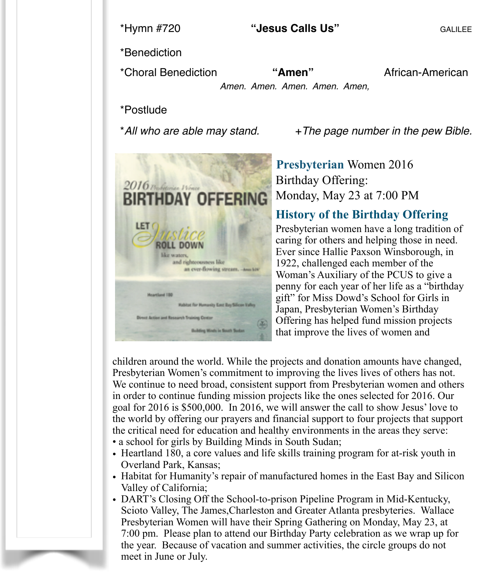\*Benediction

\*Choral Benediction **"Amen"** African-American

*Amen. Amen. Amen. Amen. Amen,*! !

\*Postlude

 $2016$  The fortunisme 1916 **BIRTHDAY OFFERING** LET **ROLL DOWN** like waters. and righteousness like an ever-flowing stream. - Assets) **Meartland 120 Wablast For Humanity East Bay Silican Valley** rest Action and Research Training Center **Building Minds in South Soda** 

\**All who are able may stand.* +*The page number in the pew Bible.*

 **Presbyterian** Women 2016 Birthday Offering: Monday, May 23 at 7:00 PM

#### **History of the Birthday Offering**

Presbyterian women have a long tradition of caring for others and helping those in need. Ever since Hallie Paxson Winsborough, in 1922, challenged each member of the Woman's Auxiliary of the PCUS to give a penny for each year of her life as a "birthday gift" for Miss Dowd's School for Girls in Japan, Presbyterian Women's Birthday Offering has helped fund mission projects that improve the lives of women and

children around the world. While the projects and donation amounts have changed, Presbyterian Women's commitment to improving the lives lives of others has not. We continue to need broad, consistent support from Presbyterian women and others in order to continue funding mission projects like the ones selected for 2016. Our goal for 2016 is \$500,000. In 2016, we will answer the call to show Jesus' love to the world by offering our prayers and financial support to four projects that support the critical need for education and healthy environments in the areas they serve:

- a school for girls by Building Minds in South Sudan;
- Heartland 180, a core values and life skills training program for at-risk youth in Overland Park, Kansas;
- Habitat for Humanity's repair of manufactured homes in the East Bay and Silicon Valley of California;
- DART's Closing Off the School-to-prison Pipeline Program in Mid-Kentucky, Scioto Valley, The James,Charleston and Greater Atlanta presbyteries. Wallace Presbyterian Women will have their Spring Gathering on Monday, May 23, at 7:00 pm. Please plan to attend our Birthday Party celebration as we wrap up for the year. Because of vacation and summer activities, the circle groups do not meet in June or July.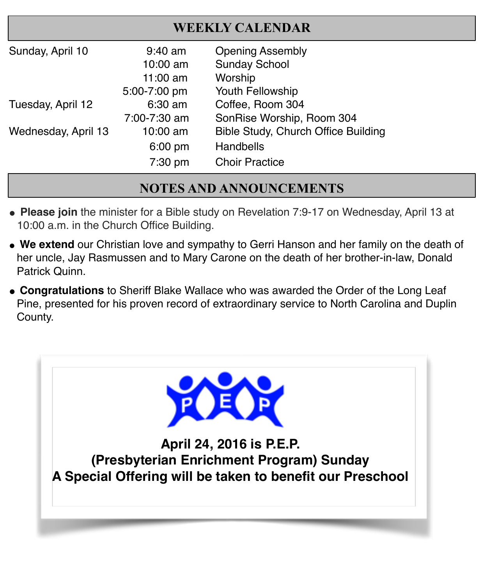## **WEEKLY CALENDAR**

| Sunday, April 10    | $9:40$ am<br>10:00 am<br>$11:00$ am | <b>Opening Assembly</b><br><b>Sunday School</b><br>Worship |
|---------------------|-------------------------------------|------------------------------------------------------------|
|                     | 5:00-7:00 pm                        | Youth Fellowship                                           |
| Tuesday, April 12   | 6:30 am                             | Coffee, Room 304                                           |
|                     | 7:00-7:30 am                        | SonRise Worship, Room 304                                  |
| Wednesday, April 13 | 10:00 am                            | <b>Bible Study, Church Office Building</b>                 |
|                     | $6:00$ pm                           | Handbells                                                  |
|                     | 7:30 pm                             | <b>Choir Practice</b>                                      |

## **NOTES AND ANNOUNCEMENTS**

- **" Please join** the minister for a Bible study on Revelation 7:9-17 on Wednesday, April 13 at 10:00 a.m. in the Church Office Building.
- **We extend** our Christian love and sympathy to Gerri Hanson and her family on the death of her uncle, Jay Rasmussen and to Mary Carone on the death of her brother-in-law, Donald Patrick Quinn.
- **Congratulations** to Sheriff Blake Wallace who was awarded the Order of the Long Leaf Pine, presented for his proven record of extraordinary service to North Carolina and Duplin County.

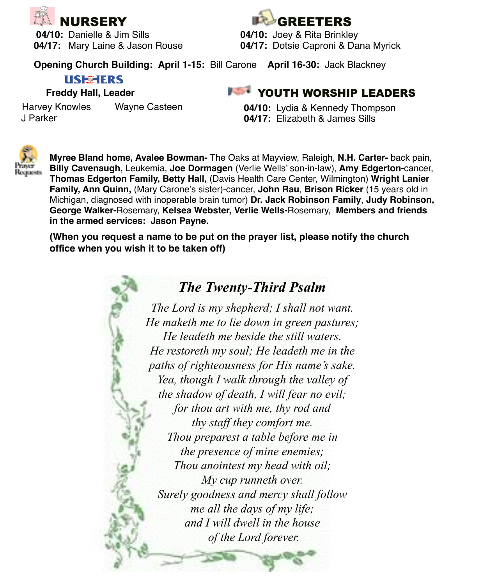

**04/10:** Danielle & Jim Sills**! ! ! 04/10:** Joey & Rita Brinkley **04/17:** Mary Laine & Jason Rouse**! ! 04/17:** Dotsie Caproni & Dana Myrick



**Opening Church Building: April 1-15:** Bill Carone **April 16-30:** Jack Blackney

#### **USE HERS**

#### **Freddy Hall, Leader**

Harvey Knowles Wayne Casteen J Parker

#### **FOUTH WORSHIP LEADERS**

**04/10:** Lydia & Kennedy Thompson **04/17:** Elizabeth & James Sills



**Myree Bland home, Avalee Bowman-** The Oaks at Mayview, Raleigh, **N.H. Carter-** back pain, **Billy Cavenaugh,** Leukemia, **Joe Dormagen** (Verlie Wells' son-in-law), **Amy Edgerton-**cancer, **Thomas Edgerton Family, Betty Hall,** (Davis Health Care Center, Wilmington) **Wright Lanier Family, Ann Quinn,** (Mary Carone's sister)-cancer, **John Rau**, **Brison Ricker** (15 years old in Michigan, diagnosed with inoperable brain tumor) **Dr. Jack Robinson Family**, **Judy Robinson, George Walker-**Rosemary, **Kelsea Webster, Verlie Wells-**Rosemary, **Members and friends in the armed services: Jason Payne.** 

**(When you request a name to be put on the prayer list, please notify the church office when you wish it to be taken off)**